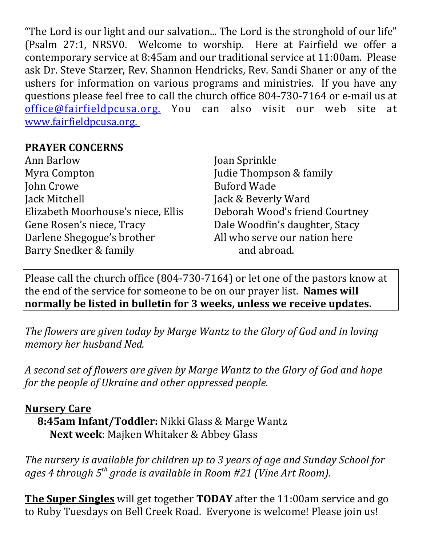"The Lord is our light and our salvation... The Lord is the stronghold of our life" (Psalm 27:1, NRSV0. Welcome to worship. Here at Fairfield we offer a contemporary service at 8:45am and our traditional service at 11:00am. Please ask Dr. Steve Starzer, Rev. Shannon Hendricks, Rev. Sandi Shaner or any of the ushers for information on various programs and ministries. If you have any questions please feel free to call the church office 804-730-7164 or e-mail us at office@fairfieldpcusa.org. You can also visit our web site at www.fairfieldpcusa.org.

## **PRAYER CONCERNS**

Ann Barlow Myra Compton John Crowe Jack Mitchell Elizabeth Moorhouse's niece, Ellis Gene Rosen's niece, Tracy Darlene Shegogue's brother Barry Snedker & family

Joan Sprinkle Judie Thompson & family Buford Wade Jack & Beverly Ward Deborah Wood's friend Courtney Dale Woodfin's daughter, Stacy All who serve our nation here and abroad.

Please call the church office (804-730-7164) or let one of the pastors know at the end of the service for someone to be on our prayer list. **Names will normally be listed in bulletin for 3 weeks, unless we receive updates.**

*The flowers are given today by Marge Wantz to the Glory of God and in loving memory her husband Ned.*

*A second set of flowers are given by Marge Wantz to the Glory of God and hope for the people of Ukraine and other oppressed people.*

## **Nursery Care**

**8:45am Infant/Toddler:** Nikki Glass & Marge Wantz **Next week**: Majken Whitaker & Abbey Glass

*The nursery is available for children up to 3 years of age and Sunday School for ages 4 through 5th grade is available in Room #21 (Vine Art Room).*

**The Super Singles** will get together **TODAY** after the 11:00am service and go to Ruby Tuesdays on Bell Creek Road. Everyone is welcome! Please join us!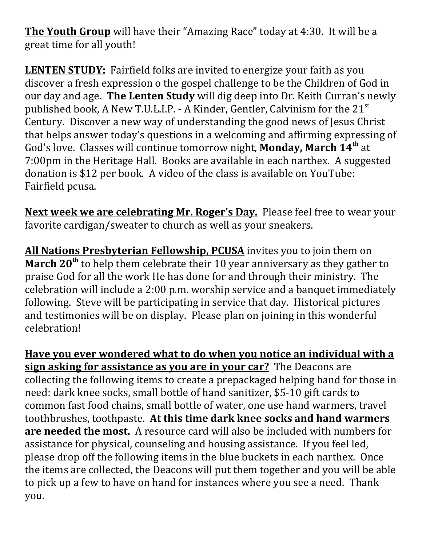**The Youth Group** will have their "Amazing Race" today at 4:30. It will be a great time for all youth!

**LENTEN STUDY:** Fairfield folks are invited to energize your faith as you discover a fresh expression o the gospel challenge to be the Children of God in our day and age**. The Lenten Study** will dig deep into Dr. Keith Curran's newly published book, A New T.U.L.I.P. - A Kinder, Gentler, Calvinism for the  $21^{st}$ Century. Discover a new way of understanding the good news of Jesus Christ that helps answer today's questions in a welcoming and affirming expressing of God's love. Classes will continue tomorrow night, **Monday, March 14th** at 7:00pm in the Heritage Hall. Books are available in each narthex. A suggested donation is \$12 per book. A video of the class is available on YouTube: Fairfield pcusa.

**Next week we are celebrating Mr. Roger's Day.** Please feel free to wear your favorite cardigan/sweater to church as well as your sneakers.

**All Nations Presbyterian Fellowship, PCUSA** invites you to join them on **March 20th** to help them celebrate their 10 year anniversary as they gather to praise God for all the work He has done for and through their ministry. The celebration will include a 2:00 p.m. worship service and a banquet immediately following. Steve will be participating in service that day. Historical pictures and testimonies will be on display. Please plan on joining in this wonderful celebration!

**Have you ever wondered what to do when you notice an individual with a sign asking for assistance as you are in your car?** The Deacons are collecting the following items to create a prepackaged helping hand for those in need: dark knee socks, small bottle of hand sanitizer, \$5-10 gift cards to common fast food chains, small bottle of water, one use hand warmers, travel toothbrushes, toothpaste. **At this time dark knee socks and hand warmers are needed the most.** A resource card will also be included with numbers for assistance for physical, counseling and housing assistance. If you feel led, please drop off the following items in the blue buckets in each narthex. Once the items are collected, the Deacons will put them together and you will be able to pick up a few to have on hand for instances where you see a need. Thank you.